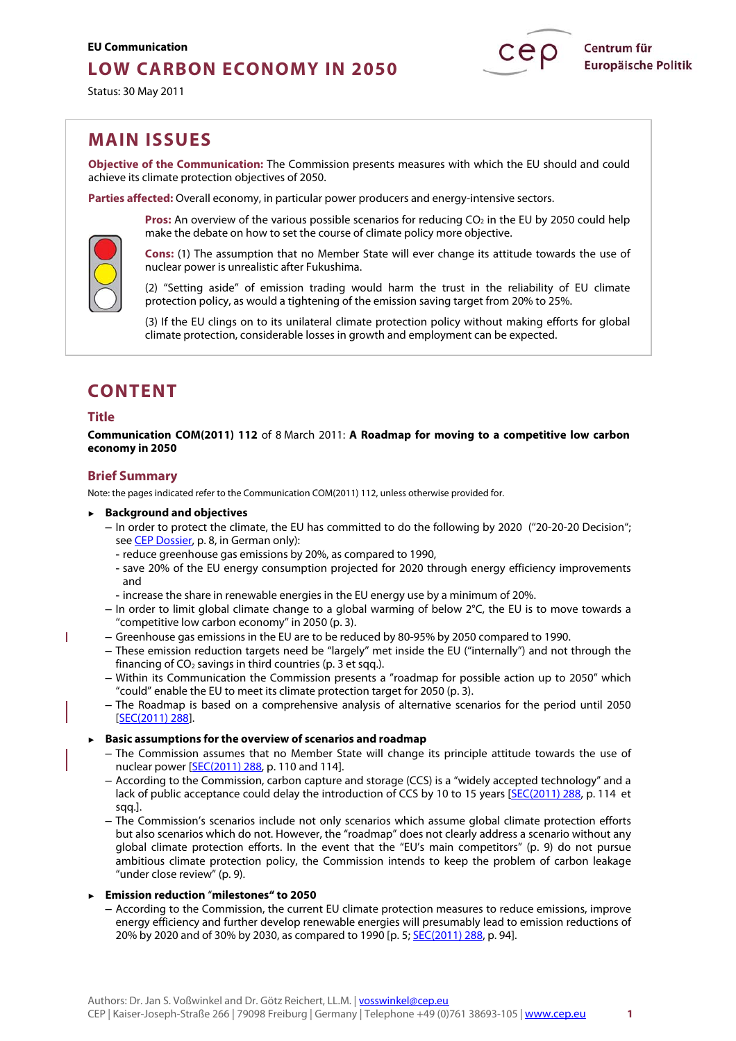# **LOW CARBON ECONOMY IN 2050**

Status: 30 May 2011



# **MAIN ISSUES**

**Objective of the Communication:** The Commission presents measures with which the EU should and could achieve its climate protection objectives of 2050.

**Parties affected:** Overall economy, in particular power producers and energy-intensive sectors.



make the debate on how to set the course of climate policy more objective. **Cons:** (1) The assumption that no Member State will ever change its attitude towards the use of

**Pros:** An overview of the various possible scenarios for reducing CO<sub>2</sub> in the EU by 2050 could help

nuclear power is unrealistic after Fukushima.

(2) "Setting aside" of emission trading would harm the trust in the reliability of EU climate protection policy, as would a tightening of the emission saving target from 20% to 25%.

(3) If the EU clings on to its unilateral climate protection policy without making efforts for global climate protection, considerable losses in growth and employment can be expected.

# **CONTENT**

# **Title**

п

**Communication COM(2011) 112** of 8 March 2011: **A Roadmap for moving to a competitive low carbon economy in 2050** 

# **Brief Summary**

Note: the pages indicated refer to the Communication COM(2011) 112, unless otherwise provided for.

- ► **Background and objectives**
	- In order to protect the climate, the EU has committed to do the following by 2020 (''20-20-20 Decision''; see [CEP Dossier,](http://www.cep.eu/fileadmin/user_upload/Kurzanalysen/Klima-Dossier/CEP-Dossier_EU-Klimaschutz.pdf) p. 8, in German only):
		- reduce greenhouse gas emissions by 20%, as compared to 1990,
		- save 20% of the EU energy consumption projected for 2020 through energy efficiency improvements and
		- increase the share in renewable energies in the EU energy use by a minimum of 20%.
	- $-$  In order to limit global climate change to a global warming of below  $2^{\circ}$ C, the EU is to move towards a "competitive low carbon economy" in 2050 (p. 3).
- Greenhouse gas emissions in the EU are to be reduced by 80-95% by 2050 compared to 1990.
	- These emission reduction targets need be ''largely'' met inside the EU (''internally'') and not through the financing of  $CO<sub>2</sub>$  savings in third countries (p. 3 et sqq.).
	- Within its Communication the Commission presents a "roadmap for possible action up to 2050" which "could" enable the EU to meet its climate protection target for 2050 (p. 3).
	- The Roadmap is based on a comprehensive analysis of alternative scenarios for the period until 2050 [\[SEC\(2011\) 288\].](http://www.cep.eu/fileadmin/user_upload/Kurzanalysen/CO2-arme_Wirtschaft/SEC_2011-288_IA.pdf)

# ► **Basic assumptions for the overview of scenarios and roadmap**

- The Commission assumes that no Member State will change its principle attitude towards the use of nuclear power [\[SEC\(2011\) 288,](http://www.cep.eu/fileadmin/user_upload/Kurzanalysen/CO2-arme_Wirtschaft/SEC_2011-288_IA.pdf) p. 110 and 114].
- According to the Commission, carbon capture and storage (CCS) is a "widely accepted technology" and a lack of public acceptance could delay the introduction of CCS by 10 to 15 years [\[SEC\(2011\) 288,](http://www.cep.eu/fileadmin/user_upload/Kurzanalysen/CO2-arme_Wirtschaft/SEC_2011-288_IA.pdf) p. 114 et sqq.].
- The Commission's scenarios include not only scenarios which assume global climate protection efforts but also scenarios which do not. However, the "roadmap" does not clearly address a scenario without any global climate protection efforts. In the event that the "EU's main competitors" (p. 9) do not pursue ambitious climate protection policy, the Commission intends to keep the problem of carbon leakage "under close review" (p. 9).

# ► **Emission reduction** "**milestones" to 2050**

– According to the Commission, the current EU climate protection measures to reduce emissions, improve energy efficiency and further develop renewable energies will presumably lead to emission reductions of 20% by 2020 and of 30% by 2030, as compared to 1990 [p. 5; [SEC\(2011\) 288,](http://www.cep.eu/fileadmin/user_upload/Kurzanalysen/CO2-arme_Wirtschaft/SEC_2011-288_IA.pdf) p. 94].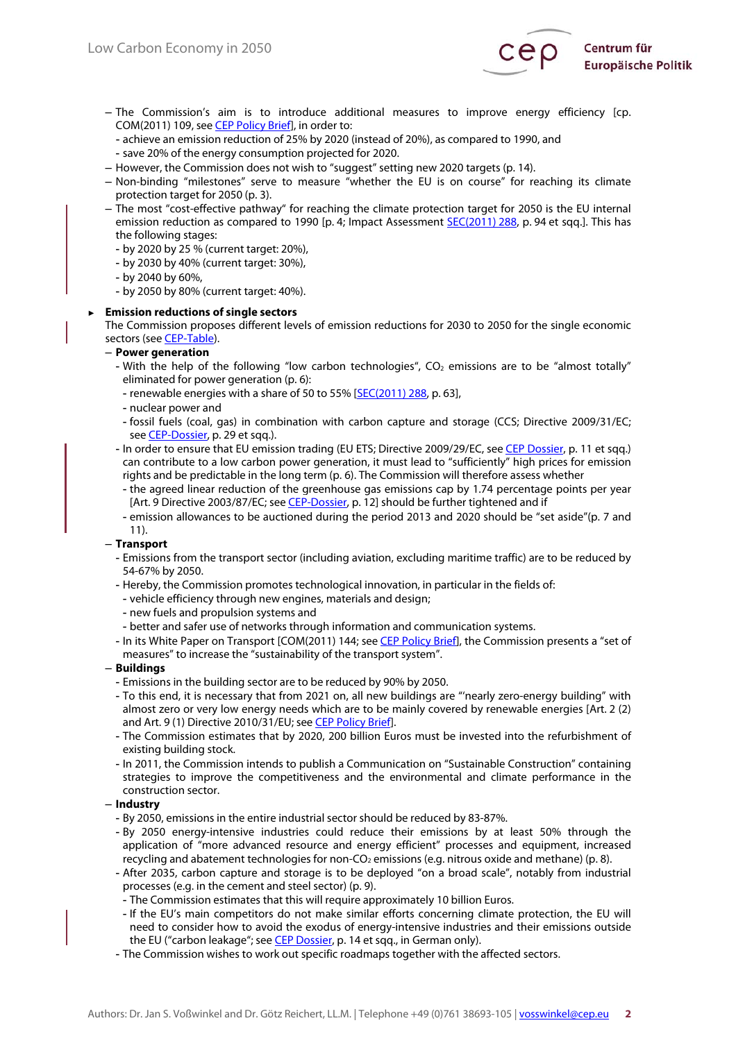

– The Commission's aim is to introduce additional measures to improve energy efficiency [cp. COM(2011) 109, see [CEP Policy Brief\],](http://www.cep.eu/en/analyses-of-eu-policy/energy/energy-efficiency-plan/) in order to:

- achieve an emission reduction of 25% by 2020 (instead of 20%), as compared to 1990, and - save 20% of the energy consumption projected for 2020.

- However, the Commission does not wish to "suggest" setting new 2020 targets (p. 14).
- Non-binding "milestones" serve to measure "whether the EU is on course" for reaching its climate protection target for 2050 (p. 3).
- The most "cost-effective pathway" for reaching the climate protection target for 2050 is the EU internal emission reduction as compared to 1990 [p. 4; Impact Assessment [SEC\(2011\) 288,](http://www.cep.eu/fileadmin/user_upload/Kurzanalysen/CO2-arme_Wirtschaft/SEC_2011-288_IA.pdf) p. 94 et sqq.]. This has the following stages:
	- by 2020 by 25 % (current target: 20%),
	- by 2030 by 40% (current target: 30%),
	- by 2040 by 60%,
	- by 2050 by 80% (current target: 40%).

#### ► **Emission reductions of single sectors**

The Commission proposes different levels of emission reductions for 2030 to 2050 for the single economic sectors (see **CEP-Table**).

#### – **Power generation**

- With the help of the following "low carbon technologies",  $CO<sub>2</sub>$  emissions are to be "almost totally" eliminated for power generation (p. 6):
	- renewable energies with a share of 50 to 55% [\[SEC\(2011\) 288,](http://www.cep.eu/fileadmin/user_upload/Kurzanalysen/CO2-arme_Wirtschaft/SEC_2011-288_IA.pdf) p. 63],
- nuclear power and
- fossil fuels (coal, gas) in combination with carbon capture and storage (CCS; Directive 2009/31/EC; see [CEP-Dossier,](http://www.cep.eu/fileadmin/user_upload/Kurzanalysen/Klima-Dossier/CEP-Dossier_EU-Klimaschutz.pdf) p. 29 et sqq.).
- In order to ensure that EU emission trading (EU ETS; Directive 2009/29/EC, see [CEP Dossier,](http://www.cep.eu/fileadmin/user_upload/Kurzanalysen/Klima-Dossier/CEP-Dossier_EU-Klimaschutz.pdf) p. 11 et sqq.) can contribute to a low carbon power generation, it must lead to "sufficiently" high prices for emission rights and be predictable in the long term (p. 6). The Commission will therefore assess whether
- the agreed linear reduction of the greenhouse gas emissions cap by 1.74 percentage points per year [Art. 9 Directive 2003/87/EC; see [CEP-Dossier,](http://www.cep.eu/fileadmin/user_upload/Kurzanalysen/Klima-Dossier/CEP-Dossier_EU-Klimaschutz.pdf) p. 12] should be further tightened and if
- emission allowances to be auctioned during the period 2013 and 2020 should be "set aside"(p. 7 and 11).

#### – **Transport**

- Emissions from the transport sector (including aviation, excluding maritime traffic) are to be reduced by 54-67% by 2050.
- Hereby, the Commission promotes technological innovation, in particular in the fields of:
- vehicle efficiency through new engines, materials and design;
- new fuels and propulsion systems and
- better and safer use of networks through information and communication systems.
- In its White Paper on Transport [COM(2011) 144; see [CEP Policy Brief\],](http://www.cep.eu/en/analyses-of-eu-policy/transport/white-paper-transport/) the Commission presents a "set of measures" to increase the "sustainability of the transport system".

# – **Buildings**

- Emissions in the building sector are to be reduced by 90% by 2050.
- To this end, it is necessary that from 2021 on, all new buildings are "'nearly zero-energy building" with almost zero or very low energy needs which are to be mainly covered by renewable energies [Art. 2 (2) and Art. 9 (1) Directive 2010/31/EU; see CEP Policy Brief].
- The Commission estimates that by 2020, 200 billion Euros must be invested into the refurbishment of existing building stock.
- In 2011, the Commission intends to publish a Communication on "Sustainable Construction" containing strategies to improve the competitiveness and the environmental and climate performance in the construction sector.

# – **Industry**

- By 2050, emissions in the entire industrial sector should be reduced by 83-87%.
- By 2050 energy-intensive industries could reduce their emissions by at least 50% through the application of "more advanced resource and energy efficient" processes and equipment, increased recycling and abatement technologies for non-CO<sub>2</sub> emissions (e.g. nitrous oxide and methane) (p. 8).
- After 2035, carbon capture and storage is to be deployed "on a broad scale", notably from industrial processes (e.g. in the cement and steel sector) (p. 9).
- The Commission estimates that this will require approximately 10 billion Euros.
- If the EU's main competitors do not make similar efforts concerning climate protection, the EU will need to consider how to avoid the exodus of energy-intensive industries and their emissions outside the EU ("carbon leakage"; see [CEP Dossier,](http://www.cep.eu/fileadmin/user_upload/Kurzanalysen/Klima-Dossier/CEP-Dossier_EU-Klimaschutz.pdf) p. 14 et sqq., in German only).
- The Commission wishes to work out specific roadmaps together with the affected sectors.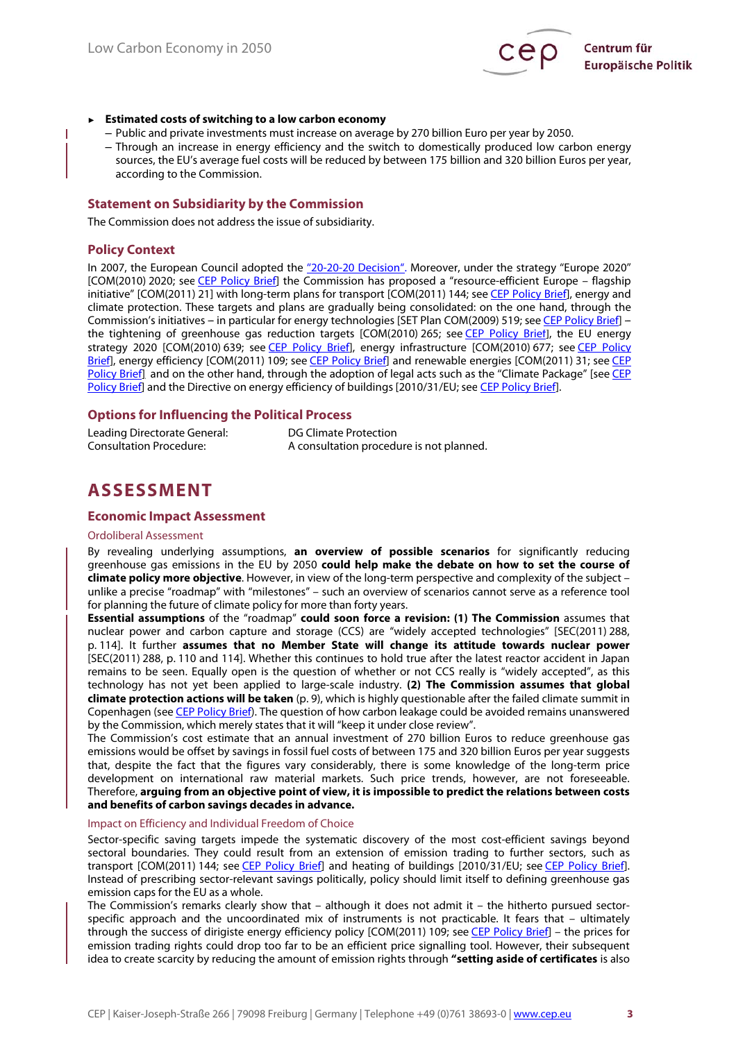

#### ► **Estimated costs of switching to a low carbon economy**

- Public and private investments must increase on average by 270 billion Euro per year by 2050.
- Through an increase in energy efficiency and the switch to domestically produced low carbon energy sources, the EU's average fuel costs will be reduced by between 175 billion and 320 billion Euros per year, according to the Commission.

# **Statement on Subsidiarity by the Commission**

The Commission does not address the issue of subsidiarity.

#### **Policy Context**

In 2007, the European Council adopted the "20-20-20 Decision". Moreover, under the strategy "Europe 2020" [COM(2010) 2020; se[e CEP Policy Brief\]](http://www.cep.eu/en/analyses-of-eu-policy/further-subjects/the-european-distrategy-europe-2020/) the Commission has proposed a "resource-efficient Europe – flagship initiative" [COM(2011) 21] with long-term plans for transport [COM(2011) 144; see [CEP Policy Brief\],](http://www.cep.eu/en/analyses-of-eu-policy/transport/white-paper-transport/) energy and climate protection. These targets and plans are gradually being consolidated: on the one hand, through the Commission's initiatives -- in particular for energy technologies [SET Plan COM(2009) 519; see [CEP Policy Brief\] -](http://www.cep.eu/en/analyses-of-eu-policy/energy/low-carbon-technologies/)-the tightening of greenhouse gas reduction targets [COM(2010) 265; see [CEP Policy Brief\],](http://www.cep.eu/en/analyses-of-eu-policy/climate-protection/co2-reduction-beyond-20/) the EU energy strategy 2020 [COM(2010) 639; see [CEP Policy Brief\],](http://www.cep.eu/en/analyses-of-eu-policy/energy/energy-strategy-2020/) energy infrastructure [COM(2010) 677; see CEP Policy [Brief\],](http://www.cep.eu/en/analyses-of-eu-policy/energy/energy-infrastructure/) energy efficiency [COM(2011) 109; se[e CEP Policy Brief\]](http://www.cep.eu/en/analyses-of-eu-policy/energy/energy-efficiency-plan/) and renewable energies [COM(2011) 31; see [CEP](http://www.cep.eu/en/analyses-of-eu-policy/energy/communication-renewable-energy/) [Policy Brief\],](http://www.cep.eu/en/analyses-of-eu-policy/energy/communication-renewable-energy/) and on the other hand, through the adoption of legal acts such as the "Climate Package" [see [CEP](http://www.cep.eu/en/analyses-of-eu-policy/energy/low-carbon-technologies/) [Policy Brief\]](http://www.cep.eu/en/analyses-of-eu-policy/energy/low-carbon-technologies/) and the Directive on energy efficiency of buildings [2010/31/EU; see CEP Policy Brief].

# **Options for Influencing the Political Process**

| Leading Directorate General:   | DG Climate Protection                    |
|--------------------------------|------------------------------------------|
| <b>Consultation Procedure:</b> | A consultation procedure is not planned. |

# **ASSESSMENT**

#### **Economic Impact Assessment**

#### Ordoliberal Assessment

By revealing underlying assumptions, **an overview of possible scenarios** for significantly reducing greenhouse gas emissions in the EU by 2050 **could help make the debate on how to set the course of climate policy more objective**. However, in view of the long-term perspective and complexity of the subject – unlike a precise "roadmap" with "milestones" – such an overview of scenarios cannot serve as a reference tool for planning the future of climate policy for more than forty years.

**Essential assumptions** of the "roadmap" **could soon force a revision: (1) The Commission** assumes that nuclear power and carbon capture and storage (CCS) are "widely accepted technologies" [SEC(2011) 288, p. 114]. It further **assumes that no Member State will change its attitude towards nuclear power** [SEC(2011) 288, p. 110 and 114]. Whether this continues to hold true after the latest reactor accident in Japan remains to be seen. Equally open is the question of whether or not CCS really is "widely accepted", as this technology has not yet been applied to large-scale industry. **(2) The Commission assumes that global climate protection actions will be taken** (p. 9), which is highly questionable after the failed climate summit in Copenhagen (see [CEP Policy Brief\).](http://www.cep.eu/en/analyses-of-eu-policy/climate-protection/international-climate-policy-post-copenhagen/) The question of how carbon leakage could be avoided remains unanswered by the Commission, which merely states that it will "keep it under close review".

The Commission's cost estimate that an annual investment of 270 billion Euros to reduce greenhouse gas emissions would be offset by savings in fossil fuel costs of between 175 and 320 billion Euros per year suggests that, despite the fact that the figures vary considerably, there is some knowledge of the long-term price development on international raw material markets. Such price trends, however, are not foreseeable. Therefore, **arguing from an objective point of view, it is impossible to predict the relations between costs and benefits of carbon savings decades in advance.**

#### Impact on Efficiency and Individual Freedom of Choice

Sector-specific saving targets impede the systematic discovery of the most cost-efficient savings beyond sectoral boundaries. They could result from an extension of emission trading to further sectors, such as transport [COM(2011) 144; see [CEP Policy Brief\]](http://www.cep.eu/en/analyses-of-eu-policy/transport/white-paper-transport/) and heating of buildings [2010/31/EU; see CEP Policy Brief]. Instead of prescribing sector-relevant savings politically, policy should limit itself to defining greenhouse gas emission caps for the EU as a whole.

The Commission's remarks clearly show that – although it does not admit it – the hitherto pursued sectorspecific approach and the uncoordinated mix of instruments is not practicable. It fears that – ultimately through the success of dirigiste energy efficiency policy [COM(2011) 109; see [CEP Policy Brief\]](http://www.cep.eu/en/analyses-of-eu-policy/energy/energieeffizienz/) – the prices for emission trading rights could drop too far to be an efficient price signalling tool. However, their subsequent idea to create scarcity by reducing the amount of emission rights through **"setting aside of certificates** is also